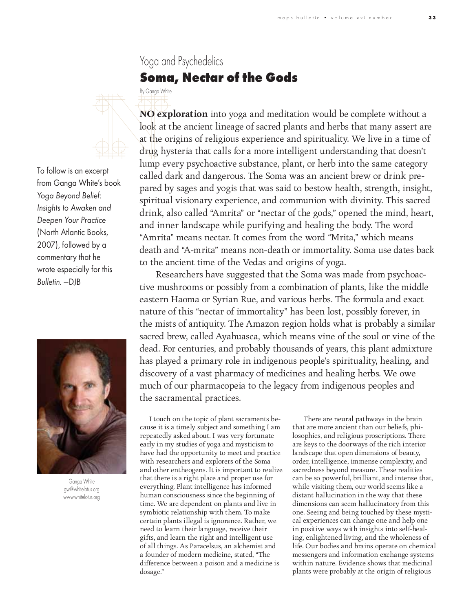## Yoga and Psychedelics **Soma, Nectar of the Gods**



By Ganga White

To follow is an excerpt from Ganga White's book *Yoga Beyond Belief: Insights to Awaken and Deepen Your Practice*  (North Atlantic Books, 2007), followed by a commentary that he wrote especially for this *Bulletin.* —DJB



Ganga White gw@whitelotus.org www.whitelotus.org

**NO exploration** into yoga and meditation would be complete without a look at the ancient lineage of sacred plants and herbs that many assert are at the origins of religious experience and spirituality. We live in a time of drug hysteria that calls for a more intelligent understanding that doesn't lump every psychoactive substance, plant, or herb into the same category called dark and dangerous. The Soma was an ancient brew or drink prepared by sages and yogis that was said to bestow health, strength, insight, spiritual visionary experience, and communion with divinity. This sacred drink, also called "Amrita" or "nectar of the gods," opened the mind, heart, and inner landscape while purifying and healing the body. The word "Amrita" means nectar. It comes from the word "Mrita," which means  $\frac{1}{1}$  and  $\frac{1}{1}$  and  $\frac{1}{1}$  and  $\frac{1}{1}$  and  $\frac{1}{1}$  and  $\frac{1}{1}$  and  $\frac{1}{1}$  and  $\frac{1}{1}$  and  $\frac{1}{1}$  and  $\frac{1}{1}$  and  $\frac{1}{1}$  and  $\frac{1}{1}$  and  $\frac{1}{1}$  and  $\frac{1}{1}$  and  $\frac{1}{1}$  and  $\frac{1}{1}$  a  $d_{\text{total}}$  and  $\frac{d_{\text{total}}}{d_{\text{total}} + d_{\text{total}}}$  and  $\frac{d_{\text{total}}}{d_{\text{total}} + d_{\text{total}}}$  and  $\frac{d_{\text{total}}}{d_{\text{total}}}$ 

to the ancient time of the Vedas and origins of yoga. Researchers have suggested that the Soma was made from psychoactive mushrooms or possibly from a combination of plants, like the middle eastern Haoma or Syrian Rue, and various herbs. The formula and exact nature of this "nectar of immortality" has been lost, possibly forever, in the mists of antiquity. The Amazon region holds what is probably a similar sacred brew, called Ayahuasca, which means vine of the soul or vine of the dead. For centuries, and probably thousands of years, this plant admixture has played a primary role in indigenous people's spirituality, healing, and discovery of a vast pharmacy of medicines and healing herbs. We owe discovery of a vast pharmacy of medicines and healing herbs. We owe much of our pharmacopeia to the legacy from indigenous peoples and the sacramental practices.

I touch on the topic of plant sacraments be-<br>cause it is a timely subject and something I am repeatedly asked about. I was very fortunate early in my studies of yoga and mysticism to have had the opportunity to meet and practice with researchers and explorers of the Soma and other entheogens. It is important to realize that there is a right place and proper use for everything. Plant intelligence has informed human consciousness since the beginning of time. We are dependent on plants and live in symbiotic relationship with them. To make certain plants illegal is ignorance. Rather, we need to learn their language, receive their gifts, and learn the right and intelligent use of all things. As Paracelsus, an alchemist and a founder of modern medicine, stated, "The a founder of modern medicine, stated, "The difference between a poison and a medicine is dosage."

There are neural pathways in the brain<br>that are more ancient than our beliefs, philosophies, and religious proscriptions. There are keys to the doorways of the rich interior landscape that open dimensions of beauty, order, intelligence, immense complexity, and sacredness beyond measure. These realities can be so powerful, brilliant, and intense that, while visiting them, our world seems like a distant hallucination in the way that these dimensions can seem hallucinatory from this one. Seeing and being touched by these mystical experiences can change one and help one in positive ways with insights into self-healing, enlightened living, and the wholeness of life. Our bodies and brains operate on chemical messengers and information exchange systems within nature. Evidence shows that medicinal within nature. Evidence shows that medicinal plants were probably at the origin of religious